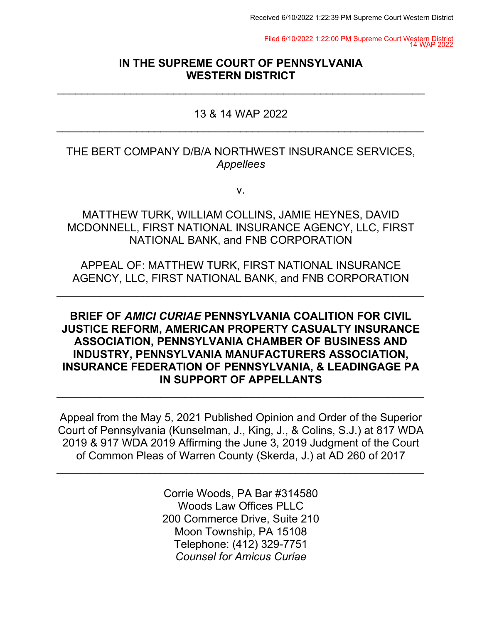Filed 6/10/2022 1:22:00 PM Supreme Court Western District 14 WAP 2022

## **IN THE SUPREME COURT OF PENNSYLVANIA WESTERN DISTRICT**

 $\overline{\phantom{a}}$  , and the contribution of the contribution of the contribution of the contribution of the contribution of the contribution of the contribution of the contribution of the contribution of the contribution of the

## 13 & 14 WAP 2022  $\overline{\phantom{a}}$  , and the contribution of the contribution of the contribution of the contribution of the contribution of the contribution of the contribution of the contribution of the contribution of the contribution of the

## THE BERT COMPANY D/B/A NORTHWEST INSURANCE SERVICES, *Appellees*

v.

MATTHEW TURK, WILLIAM COLLINS, JAMIE HEYNES, DAVID MCDONNELL, FIRST NATIONAL INSURANCE AGENCY, LLC, FIRST NATIONAL BANK, and FNB CORPORATION

APPEAL OF: MATTHEW TURK, FIRST NATIONAL INSURANCE AGENCY, LLC, FIRST NATIONAL BANK, and FNB CORPORATION

 $\overline{\phantom{a}}$  , and the contribution of the contribution of the contribution of the contribution of the contribution of the contribution of the contribution of the contribution of the contribution of the contribution of the

## **BRIEF OF** *AMICI CURIAE* **PENNSYLVANIA COALITION FOR CIVIL JUSTICE REFORM, AMERICAN PROPERTY CASUALTY INSURANCE ASSOCIATION, PENNSYLVANIA CHAMBER OF BUSINESS AND INDUSTRY, PENNSYLVANIA MANUFACTURERS ASSOCIATION, INSURANCE FEDERATION OF PENNSYLVANIA, & LEADINGAGE PA IN SUPPORT OF APPELLANTS**

 $\overline{\phantom{a}}$  , and the contribution of the contribution of the contribution of the contribution of the contribution of the contribution of the contribution of the contribution of the contribution of the contribution of the

Appeal from the May 5, 2021 Published Opinion and Order of the Superior Court of Pennsylvania (Kunselman, J., King, J., & Colins, S.J.) at 817 WDA 2019 & 917 WDA 2019 Affirming the June 3, 2019 Judgment of the Court of Common Pleas of Warren County (Skerda, J.) at AD 260 of 2017

 $\overline{\phantom{a}}$  , and the contribution of the contribution of the contribution of the contribution of the contribution of the contribution of the contribution of the contribution of the contribution of the contribution of the

Corrie Woods, PA Bar #314580 Woods Law Offices PLLC 200 Commerce Drive, Suite 210 Moon Township, PA 15108 Telephone: (412) 329-7751 *Counsel for Amicus Curiae*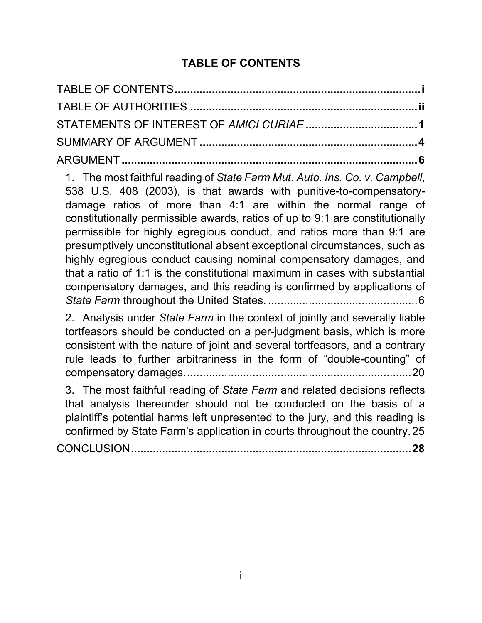## **TABLE OF CONTENTS**

<span id="page-1-0"></span>

1. The most faithful reading of *[State Farm Mut. Auto. Ins. Co. v. Campbell](#page-11-1)*, [538 U.S. 408 \(2003\), is that awards with punitive-to-compensatory](#page-11-1)[damage ratios of more than 4:1](#page-11-1) are within the normal range of [constitutionally permissible awards, ratios of up to 9:1](#page-11-1) are constitutionally [permissible for highly egregious conduct, and ratios more than 9:1](#page-11-1) are [presumptively unconstitutional absent exceptional circumstances, such as](#page-11-1)  [highly egregious conduct causing nominal compensatory damages, and](#page-11-1)  [that a ratio of 1:1 is the constitutional maximum in cases with substantial](#page-11-1)  [compensatory damages, and this reading is confirmed by applications of](#page-11-1)  *State Farm* throughout the United States. [................................................6](#page-11-1)

2. Analysis under *State Farm* [in the context of jointly and severally liable](#page-25-0)  [tortfeasors should be conducted on a per-judgment basis, which is more](#page-25-0)  [consistent with the nature of joint and several tortfeasors, and a contrary](#page-25-0)  [rule leads to further arbitrariness in the form of "double-counting" of](#page-25-0)  [compensatory damages.........................................................................20](#page-25-0)

3. [The most faithful reading of](#page-30-0) *State Farm* and related decisions reflects [that analysis thereunder should not be conducted on the basis of a](#page-30-0)  [plaintiff's potential harms left unpresented to the jury, and this reading is](#page-30-0)  [confirmed by State Farm's application in courts throughout the country.](#page-30-0) 25 CONCLUSION**[..........................................................................................28](#page-33-0)**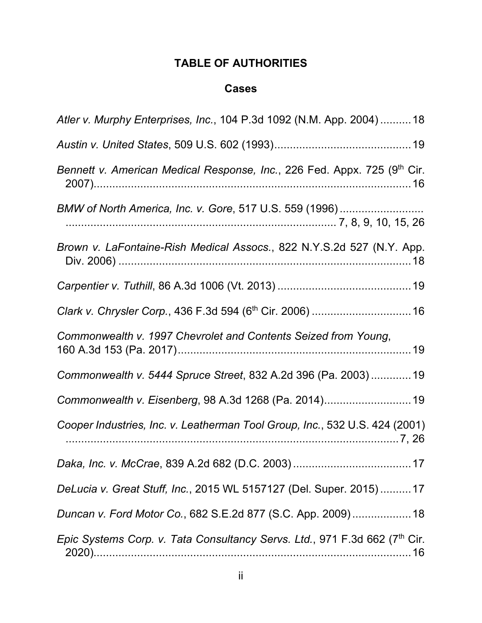# **TABLE OF AUTHORITIES**

## **Cases**

<span id="page-2-0"></span>

| Atler v. Murphy Enterprises, Inc., 104 P.3d 1092 (N.M. App. 2004) 18        |
|-----------------------------------------------------------------------------|
|                                                                             |
| Bennett v. American Medical Response, Inc., 226 Fed. Appx. 725 (9th Cir.    |
| BMW of North America, Inc. v. Gore, 517 U.S. 559 (1996)                     |
| Brown v. LaFontaine-Rish Medical Assocs., 822 N.Y.S.2d 527 (N.Y. App.       |
|                                                                             |
|                                                                             |
| Commonwealth v. 1997 Chevrolet and Contents Seized from Young,              |
| Commonwealth v. 5444 Spruce Street, 832 A.2d 396 (Pa. 2003) 19              |
| Commonwealth v. Eisenberg, 98 A.3d 1268 (Pa. 2014)19                        |
| Cooper Industries, Inc. v. Leatherman Tool Group, Inc., 532 U.S. 424 (2001) |
|                                                                             |
| DeLucia v. Great Stuff, Inc., 2015 WL 5157127 (Del. Super. 2015)17          |
| Duncan v. Ford Motor Co., 682 S.E.2d 877 (S.C. App. 2009) 18                |
| Epic Systems Corp. v. Tata Consultancy Servs. Ltd., 971 F.3d 662 (7th Cir.  |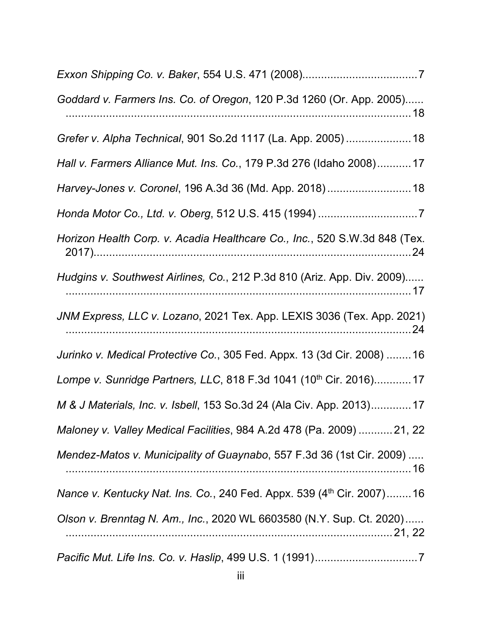| Goddard v. Farmers Ins. Co. of Oregon, 120 P.3d 1260 (Or. App. 2005)              |
|-----------------------------------------------------------------------------------|
| Grefer v. Alpha Technical, 901 So.2d 1117 (La. App. 2005)  18                     |
| Hall v. Farmers Alliance Mut. Ins. Co., 179 P.3d 276 (Idaho 2008)17               |
| Harvey-Jones v. Coronel, 196 A.3d 36 (Md. App. 2018) 18                           |
|                                                                                   |
| Horizon Health Corp. v. Acadia Healthcare Co., Inc., 520 S.W.3d 848 (Tex.         |
| Hudgins v. Southwest Airlines, Co., 212 P.3d 810 (Ariz. App. Div. 2009)           |
| JNM Express, LLC v. Lozano, 2021 Tex. App. LEXIS 3036 (Tex. App. 2021)            |
| Jurinko v. Medical Protective Co., 305 Fed. Appx. 13 (3d Cir. 2008)  16           |
| Lompe v. Sunridge Partners, LLC, 818 F.3d 1041 (10 <sup>th</sup> Cir. 2016) 17    |
| M & J Materials, Inc. v. Isbell, 153 So.3d 24 (Ala Civ. App. 2013)17              |
| Maloney v. Valley Medical Facilities, 984 A.2d 478 (Pa. 2009)  21, 22             |
| Mendez-Matos v. Municipality of Guaynabo, 557 F.3d 36 (1st Cir. 2009)             |
| Nance v. Kentucky Nat. Ins. Co., 240 Fed. Appx. 539 (4 <sup>th</sup> Cir. 2007)16 |
| Olson v. Brenntag N. Am., Inc., 2020 WL 6603580 (N.Y. Sup. Ct. 2020)              |
|                                                                                   |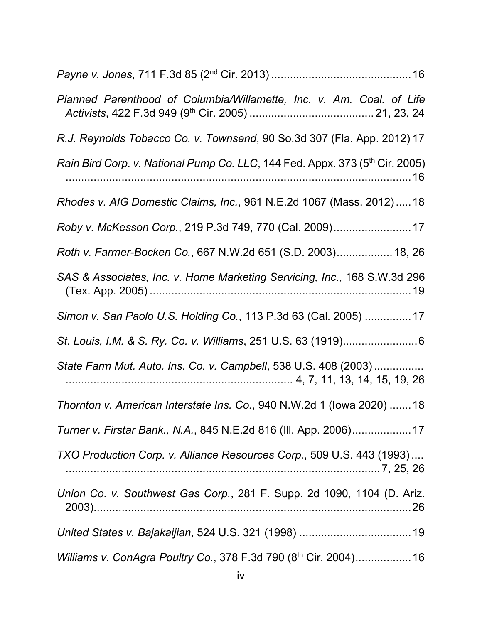| Planned Parenthood of Columbia/Willamette, Inc. v. Am. Coal. of Life                     |
|------------------------------------------------------------------------------------------|
| R.J. Reynolds Tobacco Co. v. Townsend, 90 So.3d 307 (Fla. App. 2012) 17                  |
| Rain Bird Corp. v. National Pump Co. LLC, 144 Fed. Appx. 373 (5 <sup>th</sup> Cir. 2005) |
| Rhodes v. AIG Domestic Claims, Inc., 961 N.E.2d 1067 (Mass. 2012) 18                     |
| Roby v. McKesson Corp., 219 P.3d 749, 770 (Cal. 2009)17                                  |
| Roth v. Farmer-Bocken Co., 667 N.W.2d 651 (S.D. 2003) 18, 26                             |
| SAS & Associates, Inc. v. Home Marketing Servicing, Inc., 168 S.W.3d 296                 |
| Simon v. San Paolo U.S. Holding Co., 113 P.3d 63 (Cal. 2005)  17                         |
|                                                                                          |
| State Farm Mut. Auto. Ins. Co. v. Campbell, 538 U.S. 408 (2003)                          |
| Thornton v. American Interstate Ins. Co., 940 N.W.2d 1 (lowa 2020) 18                    |
| Turner v. Firstar Bank., N.A., 845 N.E.2d 816 (III. App. 2006) 17                        |
| TXO Production Corp. v. Alliance Resources Corp., 509 U.S. 443 (1993)                    |
| Union Co. v. Southwest Gas Corp., 281 F. Supp. 2d 1090, 1104 (D. Ariz.                   |
|                                                                                          |
| Williams v. ConAgra Poultry Co., 378 F.3d 790 (8th Cir. 2004) 16                         |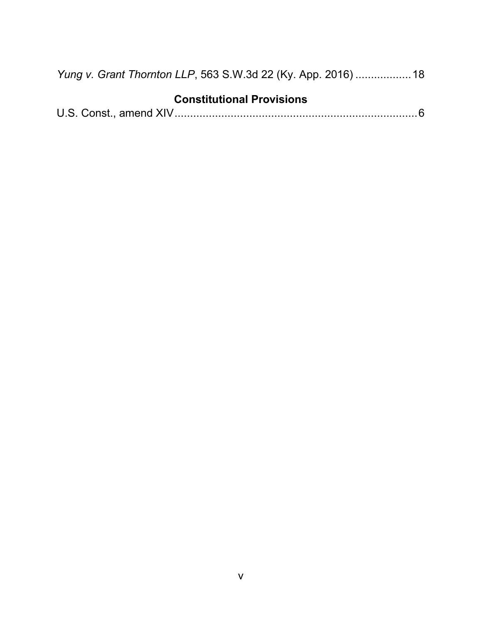| Yung v. Grant Thornton LLP, 563 S.W.3d 22 (Ky. App. 2016)  18 |  |  |
|---------------------------------------------------------------|--|--|
|---------------------------------------------------------------|--|--|

# **Constitutional Provisions**

|--|--|--|--|--|--|--|--|--|--|--|--|--|--|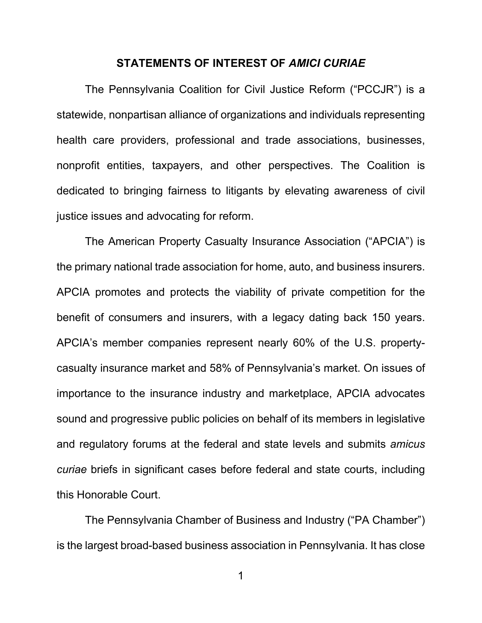### **STATEMENTS OF INTEREST OF** *AMICI CURIAE*

<span id="page-6-0"></span>The Pennsylvania Coalition for Civil Justice Reform ("PCCJR") is a statewide, nonpartisan alliance of organizations and individuals representing health care providers, professional and trade associations, businesses, nonprofit entities, taxpayers, and other perspectives. The Coalition is dedicated to bringing fairness to litigants by elevating awareness of civil justice issues and advocating for reform.

The American Property Casualty Insurance Association ("APCIA") is the primary national trade association for home, auto, and business insurers. APCIA promotes and protects the viability of private competition for the benefit of consumers and insurers, with a legacy dating back 150 years. APCIA's member companies represent nearly 60% of the U.S. propertycasualty insurance market and 58% of Pennsylvania's market. On issues of importance to the insurance industry and marketplace, APCIA advocates sound and progressive public policies on behalf of its members in legislative and regulatory forums at the federal and state levels and submits *amicus curiae* briefs in significant cases before federal and state courts, including this Honorable Court.

The Pennsylvania Chamber of Business and Industry ("PA Chamber") is the largest broad-based business association in Pennsylvania. It has close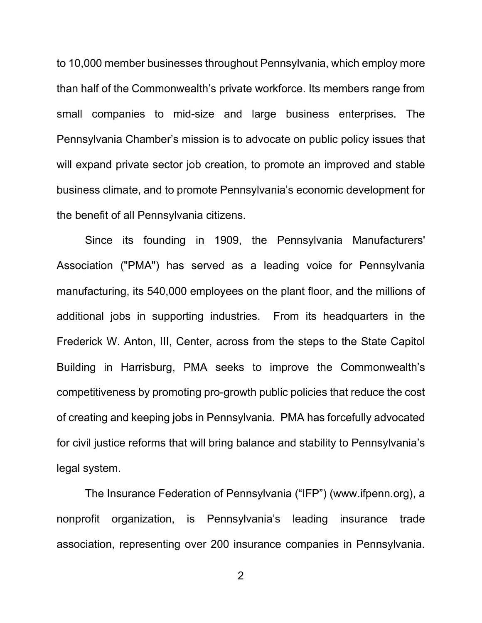to 10,000 member businesses throughout Pennsylvania, which employ more than half of the Commonwealth's private workforce. Its members range from small companies to mid-size and large business enterprises. The Pennsylvania Chamber's mission is to advocate on public policy issues that will expand private sector job creation, to promote an improved and stable business climate, and to promote Pennsylvania's economic development for the benefit of all Pennsylvania citizens.

Since its founding in 1909, the Pennsylvania Manufacturers' Association ("PMA") has served as a leading voice for Pennsylvania manufacturing, its 540,000 employees on the plant floor, and the millions of additional jobs in supporting industries. From its headquarters in the Frederick W. Anton, III, Center, across from the steps to the State Capitol Building in Harrisburg, PMA seeks to improve the Commonwealth's competitiveness by promoting pro-growth public policies that reduce the cost of creating and keeping jobs in Pennsylvania. PMA has forcefully advocated for civil justice reforms that will bring balance and stability to Pennsylvania's legal system.

The Insurance Federation of Pennsylvania ("IFP") (www.ifpenn.org), a nonprofit organization, is Pennsylvania's leading insurance trade association, representing over 200 insurance companies in Pennsylvania.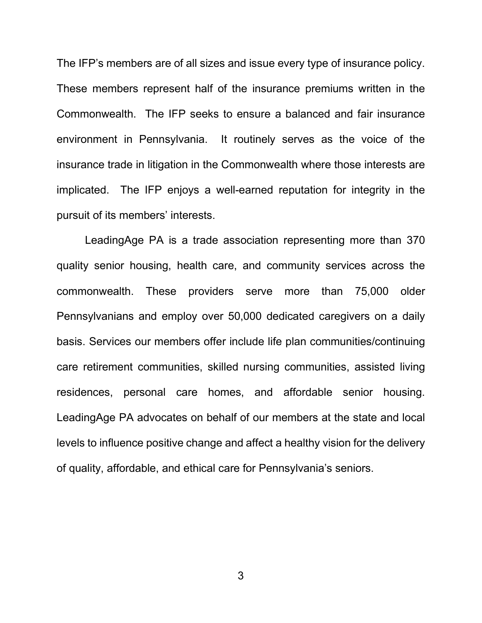The IFP's members are of all sizes and issue every type of insurance policy. These members represent half of the insurance premiums written in the Commonwealth. The IFP seeks to ensure a balanced and fair insurance environment in Pennsylvania. It routinely serves as the voice of the insurance trade in litigation in the Commonwealth where those interests are implicated. The IFP enjoys a well-earned reputation for integrity in the pursuit of its members' interests.

LeadingAge PA is a trade association representing more than 370 quality senior housing, health care, and community services across the commonwealth. These providers serve more than 75,000 older Pennsylvanians and employ over 50,000 dedicated caregivers on a daily basis. Services our members offer include life plan communities/continuing care retirement communities, skilled nursing communities, assisted living residences, personal care homes, and affordable senior housing. LeadingAge PA advocates on behalf of our members at the state and local levels to influence positive change and affect a healthy vision for the delivery of quality, affordable, and ethical care for Pennsylvania's seniors.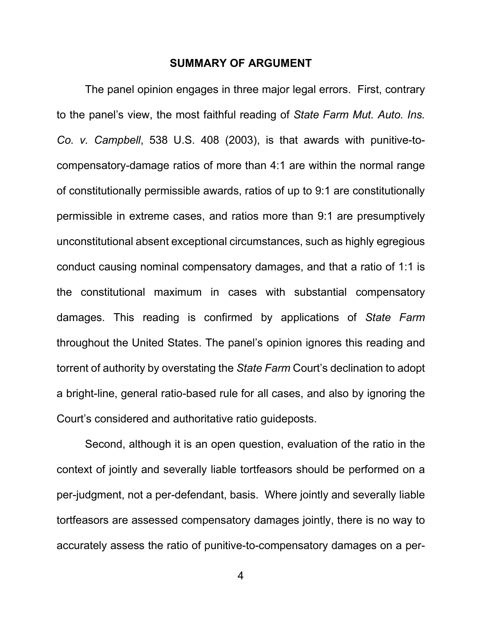### **SUMMARY OF ARGUMENT**

<span id="page-9-0"></span>The panel opinion engages in three major legal errors. First, contrary to the panel's view, the most faithful reading of *State Farm Mut. Auto. Ins. Co. v. Campbell*, 538 U.S. 408 (2003), is that awards with punitive-tocompensatory-damage ratios of more than 4:1 are within the normal range of constitutionally permissible awards, ratios of up to 9:1 are constitutionally permissible in extreme cases, and ratios more than 9:1 are presumptively unconstitutional absent exceptional circumstances, such as highly egregious conduct causing nominal compensatory damages, and that a ratio of 1:1 is the constitutional maximum in cases with substantial compensatory damages. This reading is confirmed by applications of *State Farm*  throughout the United States. The panel's opinion ignores this reading and torrent of authority by overstating the *State Farm* Court's declination to adopt a bright-line, general ratio-based rule for all cases, and also by ignoring the Court's considered and authoritative ratio guideposts.

Second, although it is an open question, evaluation of the ratio in the context of jointly and severally liable tortfeasors should be performed on a per-judgment, not a per-defendant, basis. Where jointly and severally liable tortfeasors are assessed compensatory damages jointly, there is no way to accurately assess the ratio of punitive-to-compensatory damages on a per-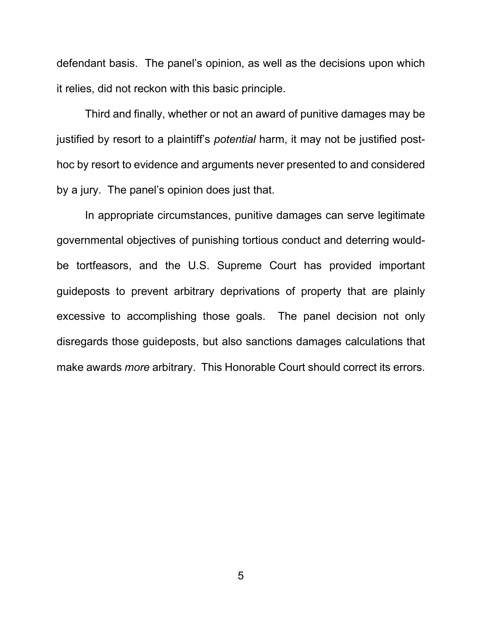defendant basis. The panel's opinion, as well as the decisions upon which it relies, did not reckon with this basic principle.

Third and finally, whether or not an award of punitive damages may be justified by resort to a plaintiff's *potential* harm, it may not be justified posthoc by resort to evidence and arguments never presented to and considered by a jury. The panel's opinion does just that.

In appropriate circumstances, punitive damages can serve legitimate governmental objectives of punishing tortious conduct and deterring wouldbe tortfeasors, and the U.S. Supreme Court has provided important guideposts to prevent arbitrary deprivations of property that are plainly excessive to accomplishing those goals. The panel decision not only disregards those guideposts, but also sanctions damages calculations that make awards *more* arbitrary. This Honorable Court should correct its errors.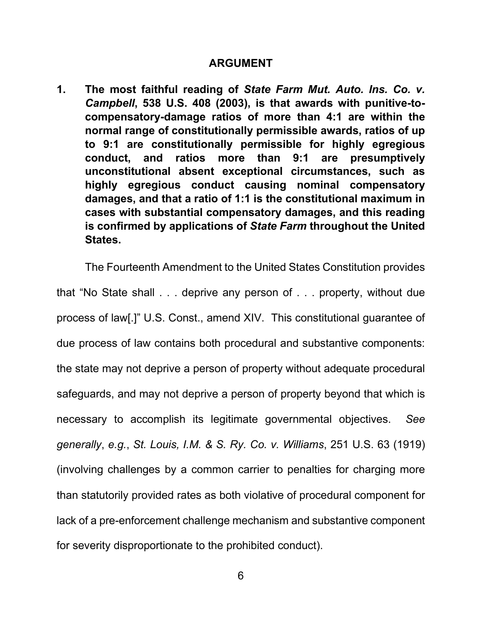### **ARGUMENT**

<span id="page-11-1"></span><span id="page-11-0"></span>**1. The most faithful reading of** *State Farm Mut. Auto. Ins. Co. v. Campbell***, 538 U.S. 408 (2003), is that awards with punitive-tocompensatory-damage ratios of more than 4:1 are within the normal range of constitutionally permissible awards, ratios of up to 9:1 are constitutionally permissible for highly egregious conduct, and ratios more than 9:1 are presumptively unconstitutional absent exceptional circumstances, such as highly egregious conduct causing nominal compensatory damages, and that a ratio of 1:1 is the constitutional maximum in cases with substantial compensatory damages, and this reading is confirmed by applications of** *State Farm* **throughout the United States.**

The Fourteenth Amendment to the United States Constitution provides that "No State shall . . . deprive any person of . . . property, without due process of law[.]" U.S. Const., amend XIV. This constitutional guarantee of due process of law contains both procedural and substantive components: the state may not deprive a person of property without adequate procedural safeguards, and may not deprive a person of property beyond that which is necessary to accomplish its legitimate governmental objectives. *See generally*, *e.g.*, *St. Louis, I.M. & S. Ry. Co. v. Williams*, 251 U.S. 63 (1919) (involving challenges by a common carrier to penalties for charging more than statutorily provided rates as both violative of procedural component for lack of a pre-enforcement challenge mechanism and substantive component for severity disproportionate to the prohibited conduct).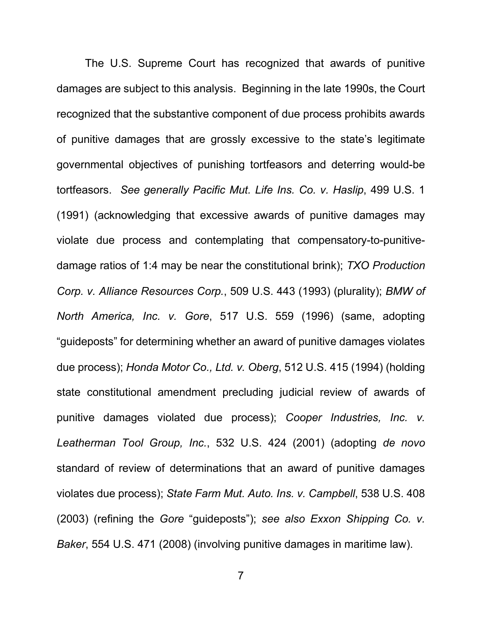The U.S. Supreme Court has recognized that awards of punitive damages are subject to this analysis. Beginning in the late 1990s, the Court recognized that the substantive component of due process prohibits awards of punitive damages that are grossly excessive to the state's legitimate governmental objectives of punishing tortfeasors and deterring would-be tortfeasors. *See generally Pacific Mut. Life Ins. Co. v. Haslip*, 499 U.S. 1 (1991) (acknowledging that excessive awards of punitive damages may violate due process and contemplating that compensatory-to-punitivedamage ratios of 1:4 may be near the constitutional brink); *TXO Production Corp. v. Alliance Resources Corp.*, 509 U.S. 443 (1993) (plurality); *BMW of North America, Inc. v. Gore*, 517 U.S. 559 (1996) (same, adopting "guideposts" for determining whether an award of punitive damages violates due process); *Honda Motor Co., Ltd. v. Oberg*, 512 U.S. 415 (1994) (holding state constitutional amendment precluding judicial review of awards of punitive damages violated due process); *Cooper Industries, Inc. v. Leatherman Tool Group, Inc.*, 532 U.S. 424 (2001) (adopting *de novo*  standard of review of determinations that an award of punitive damages violates due process); *State Farm Mut. Auto. Ins. v. Campbell*, 538 U.S. 408 (2003) (refining the *Gore* "guideposts"); *see also Exxon Shipping Co. v. Baker*, 554 U.S. 471 (2008) (involving punitive damages in maritime law).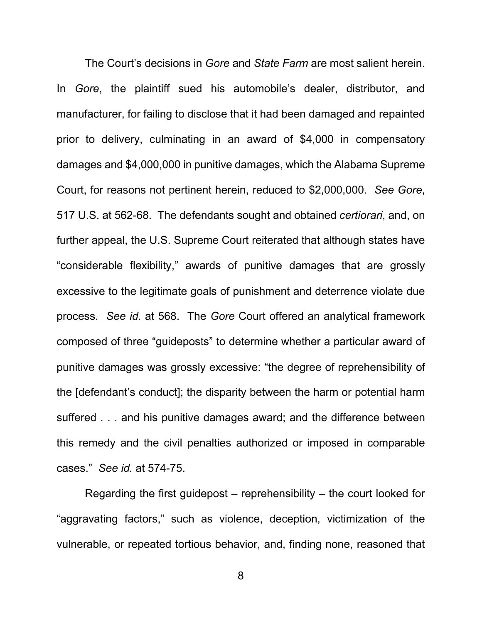The Court's decisions in *Gore* and *State Farm* are most salient herein. In *Gore*, the plaintiff sued his automobile's dealer, distributor, and manufacturer, for failing to disclose that it had been damaged and repainted prior to delivery, culminating in an award of \$4,000 in compensatory damages and \$4,000,000 in punitive damages, which the Alabama Supreme Court, for reasons not pertinent herein, reduced to \$2,000,000. *See Gore*, 517 U.S. at 562-68. The defendants sought and obtained *certiorari*, and, on further appeal, the U.S. Supreme Court reiterated that although states have "considerable flexibility," awards of punitive damages that are grossly excessive to the legitimate goals of punishment and deterrence violate due process. *See id.* at 568. The *Gore* Court offered an analytical framework composed of three "guideposts" to determine whether a particular award of punitive damages was grossly excessive: "the degree of reprehensibility of the [defendant's conduct]; the disparity between the harm or potential harm suffered . . . and his punitive damages award; and the difference between this remedy and the civil penalties authorized or imposed in comparable cases." *See id.* at 574-75.

Regarding the first guidepost – reprehensibility – the court looked for "aggravating factors," such as violence, deception, victimization of the vulnerable, or repeated tortious behavior, and, finding none, reasoned that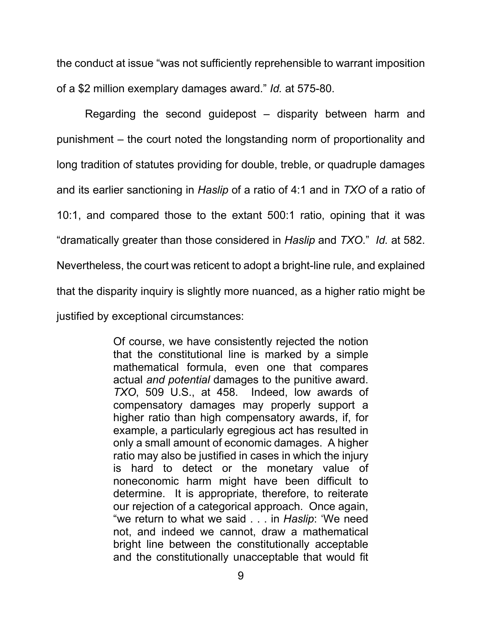the conduct at issue "was not sufficiently reprehensible to warrant imposition of a \$2 million exemplary damages award." *Id.* at 575-80.

Regarding the second guidepost – disparity between harm and punishment – the court noted the longstanding norm of proportionality and long tradition of statutes providing for double, treble, or quadruple damages and its earlier sanctioning in *Haslip* of a ratio of 4:1 and in *TXO* of a ratio of 10:1, and compared those to the extant 500:1 ratio, opining that it was "dramatically greater than those considered in *Haslip* and *TXO*." *Id.* at 582. Nevertheless, the court was reticent to adopt a bright-line rule, and explained that the disparity inquiry is slightly more nuanced, as a higher ratio might be justified by exceptional circumstances:

> Of course, we have consistently rejected the notion that the constitutional line is marked by a simple mathematical formula, even one that compares actual *and potential* damages to the punitive award. *TXO*, 509 U.S., at 458. Indeed, low awards of compensatory damages may properly support a higher ratio than high compensatory awards, if, for example, a particularly egregious act has resulted in only a small amount of economic damages. A higher ratio may also be justified in cases in which the injury is hard to detect or the monetary value of noneconomic harm might have been difficult to determine. It is appropriate, therefore, to reiterate our rejection of a categorical approach. Once again, "we return to what we said . . . in *Haslip*: 'We need not, and indeed we cannot, draw a mathematical bright line between the constitutionally acceptable and the constitutionally unacceptable that would fit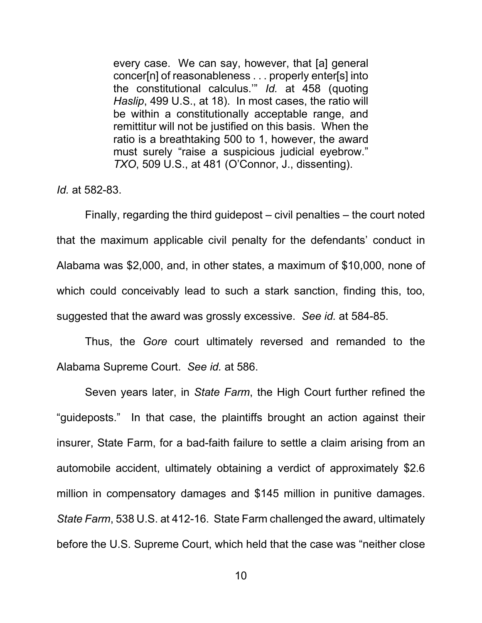every case. We can say, however, that [a] general concer[n] of reasonableness . . . properly enter[s] into the constitutional calculus.'" *Id.* at 458 (quoting *Haslip*, 499 U.S., at 18). In most cases, the ratio will be within a constitutionally acceptable range, and remittitur will not be justified on this basis. When the ratio is a breathtaking 500 to 1, however, the award must surely "raise a suspicious judicial eyebrow." *TXO*, 509 U.S., at 481 (O'Connor, J., dissenting).

*Id.* at 582-83.

Finally, regarding the third guidepost – civil penalties – the court noted that the maximum applicable civil penalty for the defendants' conduct in Alabama was \$2,000, and, in other states, a maximum of \$10,000, none of which could conceivably lead to such a stark sanction, finding this, too, suggested that the award was grossly excessive. *See id.* at 584-85.

Thus, the *Gore* court ultimately reversed and remanded to the Alabama Supreme Court. *See id.* at 586.

Seven years later, in *State Farm*, the High Court further refined the "guideposts." In that case, the plaintiffs brought an action against their insurer, State Farm, for a bad-faith failure to settle a claim arising from an automobile accident, ultimately obtaining a verdict of approximately \$2.6 million in compensatory damages and \$145 million in punitive damages. *State Farm*, 538 U.S. at 412-16. State Farm challenged the award, ultimately before the U.S. Supreme Court, which held that the case was "neither close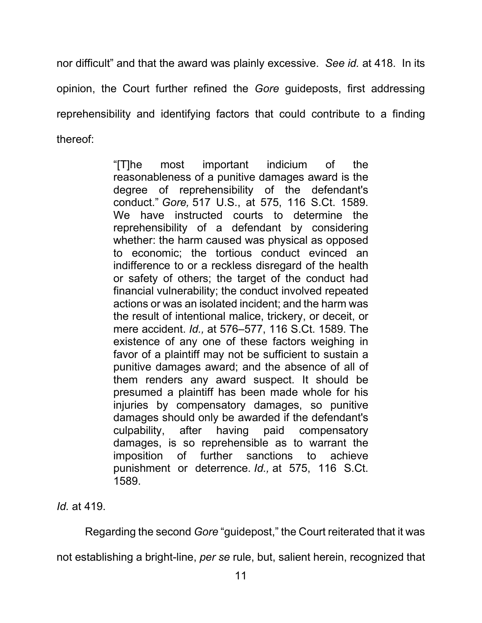nor difficult" and that the award was plainly excessive. *See id.* at 418. In its opinion, the Court further refined the *Gore* guideposts, first addressing reprehensibility and identifying factors that could contribute to a finding thereof:

> "[T]he most important indicium of the reasonableness of a punitive damages award is the degree of reprehensibility of the defendant's conduct." *Gore,* 517 U.S., at 575, 116 S.Ct. 1589. We have instructed courts to determine the reprehensibility of a defendant by considering whether: the harm caused was physical as opposed to economic; the tortious conduct evinced an indifference to or a reckless disregard of the health or safety of others; the target of the conduct had financial vulnerability; the conduct involved repeated actions or was an isolated incident; and the harm was the result of intentional malice, trickery, or deceit, or mere accident. *Id.,* at 576–577, 116 S.Ct. 1589. The existence of any one of these factors weighing in favor of a plaintiff may not be sufficient to sustain a punitive damages award; and the absence of all of them renders any award suspect. It should be presumed a plaintiff has been made whole for his injuries by compensatory damages, so punitive damages should only be awarded if the defendant's culpability, after having paid compensatory damages, is so reprehensible as to warrant the imposition of further sanctions to achieve punishment or deterrence. *Id.,* at 575, 116 S.Ct. 1589.

*Id.* at 419.

Regarding the second *Gore* "guidepost," the Court reiterated that it was

not establishing a bright-line, *per se* rule, but, salient herein, recognized that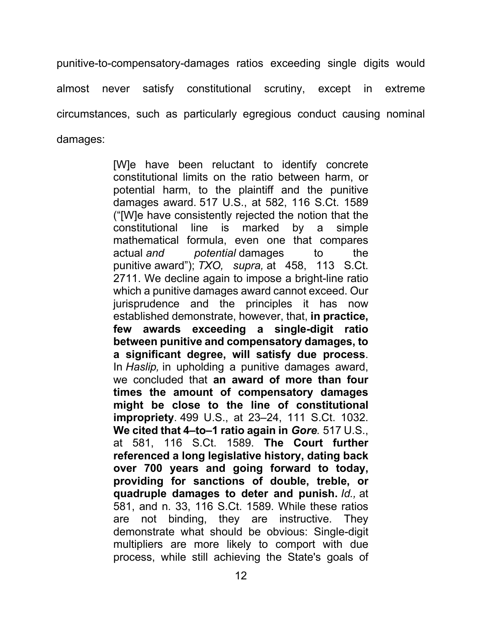punitive-to-compensatory-damages ratios exceeding single digits would almost never satisfy constitutional scrutiny, except in extreme circumstances, such as particularly egregious conduct causing nominal damages:

> [W]e have been reluctant to identify concrete constitutional limits on the ratio between harm, or potential harm, to the plaintiff and the punitive damages award. 517 U.S., at 582, 116 S.Ct. 1589 ("[W]e have consistently rejected the notion that the constitutional line is marked by a simple mathematical formula, even one that compares actual *and potential* damages to the punitive award"); *TXO, supra,* at 458, 113 S.Ct. 2711. We decline again to impose a bright-line ratio which a punitive damages award cannot exceed. Our jurisprudence and the principles it has now established demonstrate, however, that, **in practice, few awards exceeding a single-digit ratio between punitive and compensatory damages, to a significant degree, will satisfy due process**. In *Haslip,* in upholding a punitive damages award, we concluded that **an award of more than four times the amount of compensatory damages might be close to the line of constitutional impropriety**. 499 U.S., at 23–24, 111 S.Ct. 1032. **We cited that 4–to–1 ratio again in** *Gore.* 517 U.S., at 581, 116 S.Ct. 1589. **The Court further referenced a long legislative history, dating back over 700 years and going forward to today, providing for sanctions of double, treble, or quadruple damages to deter and punish.** *Id.,* at 581, and n. 33, 116 S.Ct. 1589. While these ratios are not binding, they are instructive. They demonstrate what should be obvious: Single-digit multipliers are more likely to comport with due process, while still achieving the State's goals of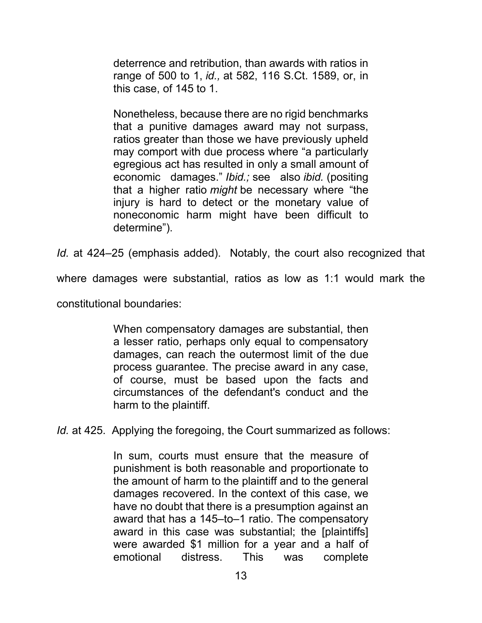deterrence and retribution, than awards with ratios in range of 500 to 1, *id.,* at 582, 116 S.Ct. 1589, or, in this case, of 145 to 1.

Nonetheless, because there are no rigid benchmarks that a punitive damages award may not surpass, ratios greater than those we have previously upheld may comport with due process where "a particularly egregious act has resulted in only a small amount of economic damages." *Ibid.;* see also *ibid.* (positing that a higher ratio *might* be necessary where "the injury is hard to detect or the monetary value of noneconomic harm might have been difficult to determine").

*Id.* at 424–25 (emphasis added). Notably, the court also recognized that

where damages were substantial, ratios as low as 1:1 would mark the

constitutional boundaries:

When compensatory damages are substantial, then a lesser ratio, perhaps only equal to compensatory damages, can reach the outermost limit of the due process guarantee. The precise award in any case, of course, must be based upon the facts and circumstances of the defendant's conduct and the harm to the plaintiff.

*Id.* at 425. Applying the foregoing, the Court summarized as follows:

In sum, courts must ensure that the measure of punishment is both reasonable and proportionate to the amount of harm to the plaintiff and to the general damages recovered. In the context of this case, we have no doubt that there is a presumption against an award that has a 145–to–1 ratio. The compensatory award in this case was substantial; the [plaintiffs] were awarded \$1 million for a year and a half of emotional distress. This was complete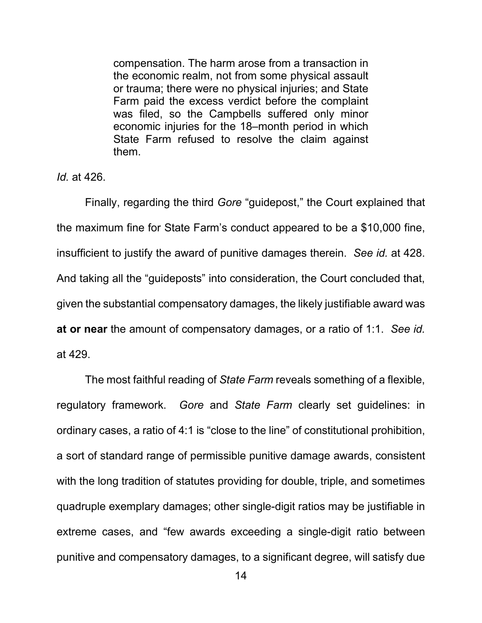compensation. The harm arose from a transaction in the economic realm, not from some physical assault or trauma; there were no physical injuries; and State Farm paid the excess verdict before the complaint was filed, so the Campbells suffered only minor economic injuries for the 18–month period in which State Farm refused to resolve the claim against them.

*Id.* at 426.

Finally, regarding the third *Gore* "guidepost," the Court explained that the maximum fine for State Farm's conduct appeared to be a \$10,000 fine, insufficient to justify the award of punitive damages therein. *See id.* at 428. And taking all the "guideposts" into consideration, the Court concluded that, given the substantial compensatory damages, the likely justifiable award was **at or near** the amount of compensatory damages, or a ratio of 1:1. *See id.* at 429.

The most faithful reading of *State Farm* reveals something of a flexible, regulatory framework. *Gore* and *State Farm* clearly set guidelines: in ordinary cases, a ratio of 4:1 is "close to the line" of constitutional prohibition, a sort of standard range of permissible punitive damage awards, consistent with the long tradition of statutes providing for double, triple, and sometimes quadruple exemplary damages; other single-digit ratios may be justifiable in extreme cases, and "few awards exceeding a single-digit ratio between punitive and compensatory damages, to a significant degree, will satisfy due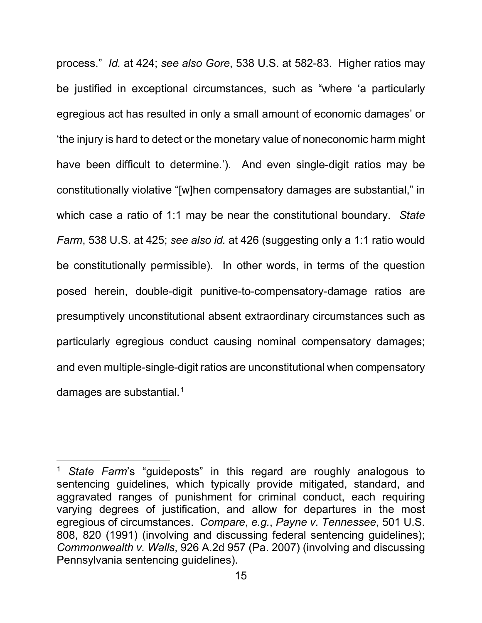process." *Id.* at 424; *see also Gore*, 538 U.S. at 582-83. Higher ratios may be justified in exceptional circumstances, such as "where 'a particularly egregious act has resulted in only a small amount of economic damages' or 'the injury is hard to detect or the monetary value of noneconomic harm might have been difficult to determine.'). And even single-digit ratios may be constitutionally violative "[w]hen compensatory damages are substantial," in which case a ratio of 1:1 may be near the constitutional boundary. *State Farm*, 538 U.S. at 425; *see also id.* at 426 (suggesting only a 1:1 ratio would be constitutionally permissible). In other words, in terms of the question posed herein, double-digit punitive-to-compensatory-damage ratios are presumptively unconstitutional absent extraordinary circumstances such as particularly egregious conduct causing nominal compensatory damages; and even multiple-single-digit ratios are unconstitutional when compensatory damages are substantial. $1$ 

<span id="page-20-0"></span><sup>1</sup> *State Farm*'s "guideposts" in this regard are roughly analogous to sentencing guidelines, which typically provide mitigated, standard, and aggravated ranges of punishment for criminal conduct, each requiring varying degrees of justification, and allow for departures in the most egregious of circumstances. *Compare*, *e.g.*, *Payne v. Tennessee*, 501 U.S. 808, 820 (1991) (involving and discussing federal sentencing guidelines); *Commonwealth v. Walls*, 926 A.2d 957 (Pa. 2007) (involving and discussing Pennsylvania sentencing guidelines).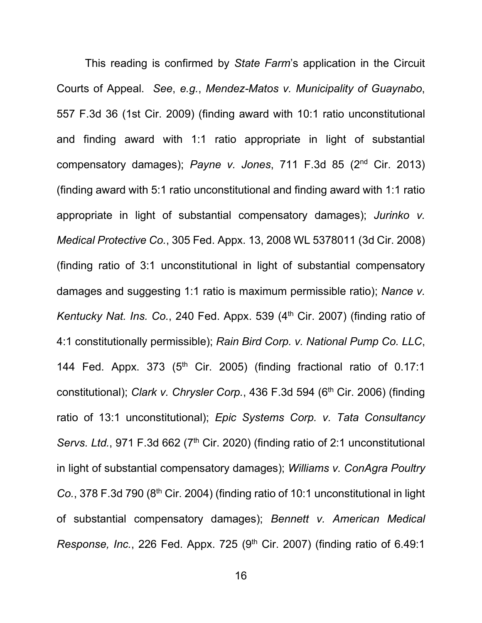This reading is confirmed by *State Farm*'s application in the Circuit Courts of Appeal. *See*, *e.g.*, *Mendez-Matos v. Municipality of Guaynabo*, 557 F.3d 36 (1st Cir. 2009) (finding award with 10:1 ratio unconstitutional and finding award with 1:1 ratio appropriate in light of substantial compensatory damages); *Payne v. Jones*, 711 F.3d 85 (2nd Cir. 2013) (finding award with 5:1 ratio unconstitutional and finding award with 1:1 ratio appropriate in light of substantial compensatory damages); *Jurinko v. Medical Protective Co.*, 305 Fed. Appx. 13, 2008 WL 5378011 (3d Cir. 2008) (finding ratio of 3:1 unconstitutional in light of substantial compensatory damages and suggesting 1:1 ratio is maximum permissible ratio); *Nance v. Kentucky Nat. Ins. Co.*, 240 Fed. Appx. 539 (4<sup>th</sup> Cir. 2007) (finding ratio of 4:1 constitutionally permissible); *Rain Bird Corp. v. National Pump Co. LLC*, 144 Fed. Appx.  $373$  (5<sup>th</sup> Cir. 2005) (finding fractional ratio of 0.17:1 constitutional); *Clark v. Chrysler Corp.*, 436 F.3d 594 (6<sup>th</sup> Cir. 2006) (finding ratio of 13:1 unconstitutional); *Epic Systems Corp. v. Tata Consultancy Servs. Ltd.*, 971 F.3d 662 (7<sup>th</sup> Cir. 2020) (finding ratio of 2:1 unconstitutional in light of substantial compensatory damages); *Williams v. ConAgra Poultry Co.*, 378 F.3d 790 (8th Cir. 2004) (finding ratio of 10:1 unconstitutional in light of substantial compensatory damages); *Bennett v. American Medical Response, Inc.*, 226 Fed. Appx. 725 (9<sup>th</sup> Cir. 2007) (finding ratio of 6.49:1)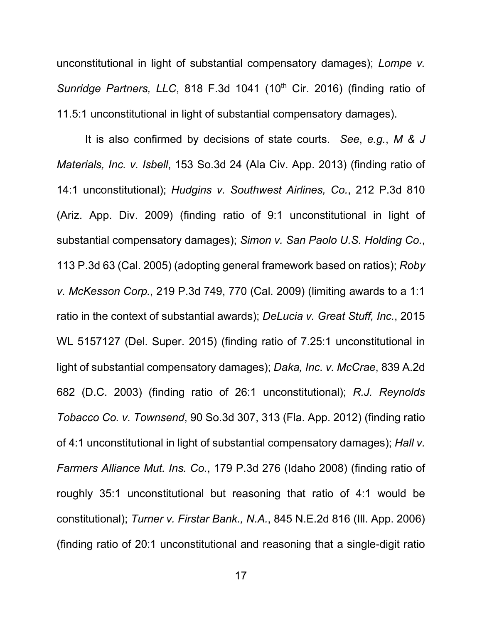unconstitutional in light of substantial compensatory damages); *Lompe v. Sunridge Partners, LLC, 818 F.3d 1041 (10<sup>th</sup> Cir. 2016) (finding ratio of* 11.5:1 unconstitutional in light of substantial compensatory damages).

It is also confirmed by decisions of state courts. *See*, *e.g.*, *M & J Materials, Inc. v. Isbell*, 153 So.3d 24 (Ala Civ. App. 2013) (finding ratio of 14:1 unconstitutional); *Hudgins v. Southwest Airlines, Co.*, 212 P.3d 810 (Ariz. App. Div. 2009) (finding ratio of 9:1 unconstitutional in light of substantial compensatory damages); *Simon v. San Paolo U.S. Holding Co.*, 113 P.3d 63 (Cal. 2005) (adopting general framework based on ratios); *Roby v. McKesson Corp.*, 219 P.3d 749, 770 (Cal. 2009) (limiting awards to a 1:1 ratio in the context of substantial awards); *DeLucia v. Great Stuff, Inc.*, 2015 WL 5157127 (Del. Super. 2015) (finding ratio of 7.25:1 unconstitutional in light of substantial compensatory damages); *Daka, Inc. v. McCrae*, 839 A.2d 682 (D.C. 2003) (finding ratio of 26:1 unconstitutional); *R.J. Reynolds Tobacco Co. v. Townsend*, 90 So.3d 307, 313 (Fla. App. 2012) (finding ratio of 4:1 unconstitutional in light of substantial compensatory damages); *Hall v. Farmers Alliance Mut. Ins. Co.*, 179 P.3d 276 (Idaho 2008) (finding ratio of roughly 35:1 unconstitutional but reasoning that ratio of 4:1 would be constitutional); *Turner v. Firstar Bank., N.A.*, 845 N.E.2d 816 (Ill. App. 2006) (finding ratio of 20:1 unconstitutional and reasoning that a single-digit ratio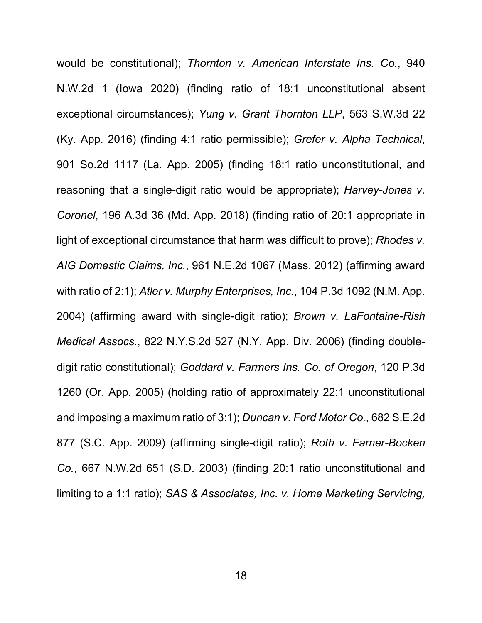would be constitutional); *Thornton v. American Interstate Ins. Co.*, 940 N.W.2d 1 (Iowa 2020) (finding ratio of 18:1 unconstitutional absent exceptional circumstances); *Yung v. Grant Thornton LLP*, 563 S.W.3d 22 (Ky. App. 2016) (finding 4:1 ratio permissible); *Grefer v. Alpha Technical*, 901 So.2d 1117 (La. App. 2005) (finding 18:1 ratio unconstitutional, and reasoning that a single-digit ratio would be appropriate); *Harvey-Jones v. Coronel*, 196 A.3d 36 (Md. App. 2018) (finding ratio of 20:1 appropriate in light of exceptional circumstance that harm was difficult to prove); *Rhodes v. AIG Domestic Claims, Inc.*, 961 N.E.2d 1067 (Mass. 2012) (affirming award with ratio of 2:1); *Atler v. Murphy Enterprises, Inc.*, 104 P.3d 1092 (N.M. App. 2004) (affirming award with single-digit ratio); *Brown v. LaFontaine-Rish Medical Assocs.*, 822 N.Y.S.2d 527 (N.Y. App. Div. 2006) (finding doubledigit ratio constitutional); *Goddard v. Farmers Ins. Co. of Oregon*, 120 P.3d 1260 (Or. App. 2005) (holding ratio of approximately 22:1 unconstitutional and imposing a maximum ratio of 3:1); *Duncan v. Ford Motor Co.*, 682 S.E.2d 877 (S.C. App. 2009) (affirming single-digit ratio); *Roth v. Farner-Bocken Co.*, 667 N.W.2d 651 (S.D. 2003) (finding 20:1 ratio unconstitutional and limiting to a 1:1 ratio); *SAS & Associates, Inc. v. Home Marketing Servicing,*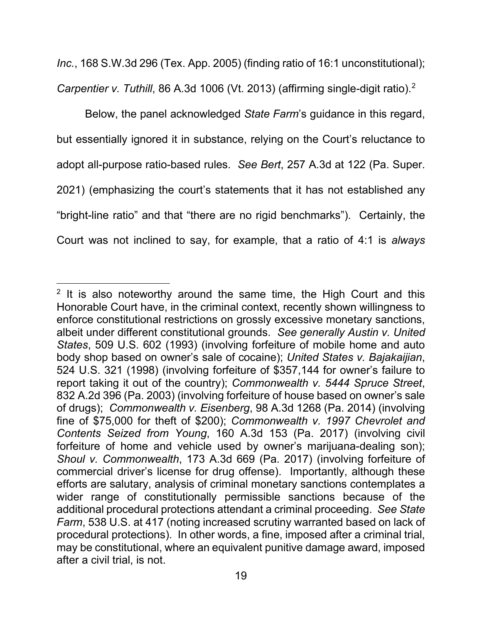*Inc.*, 168 S.W.3d 296 (Tex. App. 2005) (finding ratio of 16:1 unconstitutional); *Carpentier v. Tuthill*, 86 A.3d 1006 (Vt. 2013) (affirming single-digit ratio).[2](#page-24-0)

Below, the panel acknowledged *State Farm*'s guidance in this regard, but essentially ignored it in substance, relying on the Court's reluctance to adopt all-purpose ratio-based rules. *See Bert*, 257 A.3d at 122 (Pa. Super. 2021) (emphasizing the court's statements that it has not established any "bright-line ratio" and that "there are no rigid benchmarks"). Certainly, the Court was not inclined to say, for example, that a ratio of 4:1 is *always*

<span id="page-24-0"></span> $2$  It is also noteworthy around the same time, the High Court and this Honorable Court have, in the criminal context, recently shown willingness to enforce constitutional restrictions on grossly excessive monetary sanctions, albeit under different constitutional grounds. *See generally Austin v. United States*, 509 U.S. 602 (1993) (involving forfeiture of mobile home and auto body shop based on owner's sale of cocaine); *United States v. Bajakaijian*, 524 U.S. 321 (1998) (involving forfeiture of \$357,144 for owner's failure to report taking it out of the country); *Commonwealth v. 5444 Spruce Street*, 832 A.2d 396 (Pa. 2003) (involving forfeiture of house based on owner's sale of drugs); *Commonwealth v. Eisenberg*, 98 A.3d 1268 (Pa. 2014) (involving fine of \$75,000 for theft of \$200); *Commonwealth v. 1997 Chevrolet and Contents Seized from Young*, 160 A.3d 153 (Pa. 2017) (involving civil forfeiture of home and vehicle used by owner's marijuana-dealing son); *Shoul v. Commonwealth*, 173 A.3d 669 (Pa. 2017) (involving forfeiture of commercial driver's license for drug offense). Importantly, although these efforts are salutary, analysis of criminal monetary sanctions contemplates a wider range of constitutionally permissible sanctions because of the additional procedural protections attendant a criminal proceeding. *See State Farm*, 538 U.S. at 417 (noting increased scrutiny warranted based on lack of procedural protections). In other words, a fine, imposed after a criminal trial, may be constitutional, where an equivalent punitive damage award, imposed after a civil trial, is not.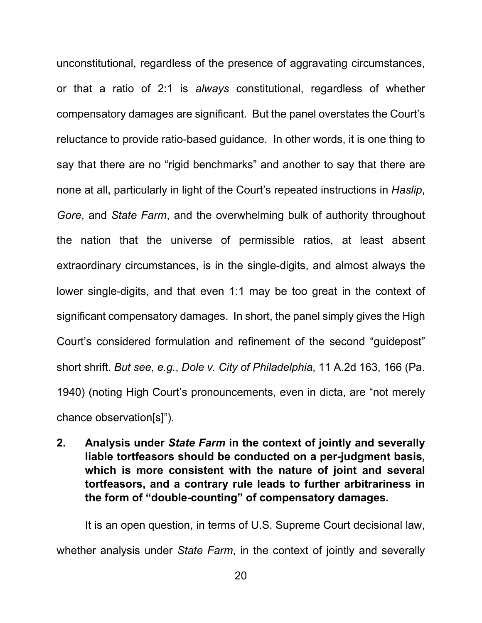unconstitutional, regardless of the presence of aggravating circumstances, or that a ratio of 2:1 is *always* constitutional, regardless of whether compensatory damages are significant. But the panel overstates the Court's reluctance to provide ratio-based guidance. In other words, it is one thing to say that there are no "rigid benchmarks" and another to say that there are none at all, particularly in light of the Court's repeated instructions in *Haslip*, *Gore*, and *State Farm*, and the overwhelming bulk of authority throughout the nation that the universe of permissible ratios, at least absent extraordinary circumstances, is in the single-digits, and almost always the lower single-digits, and that even 1:1 may be too great in the context of significant compensatory damages. In short, the panel simply gives the High Court's considered formulation and refinement of the second "guidepost" short shrift. *But see*, *e.g.*, *Dole v. City of Philadelphia*, 11 A.2d 163, 166 (Pa. 1940) (noting High Court's pronouncements, even in dicta, are "not merely chance observation[s]").

<span id="page-25-0"></span>**2. Analysis under** *State Farm* **in the context of jointly and severally liable tortfeasors should be conducted on a per-judgment basis, which is more consistent with the nature of joint and several tortfeasors, and a contrary rule leads to further arbitrariness in the form of "double-counting" of compensatory damages.**

It is an open question, in terms of U.S. Supreme Court decisional law, whether analysis under *State Farm*, in the context of jointly and severally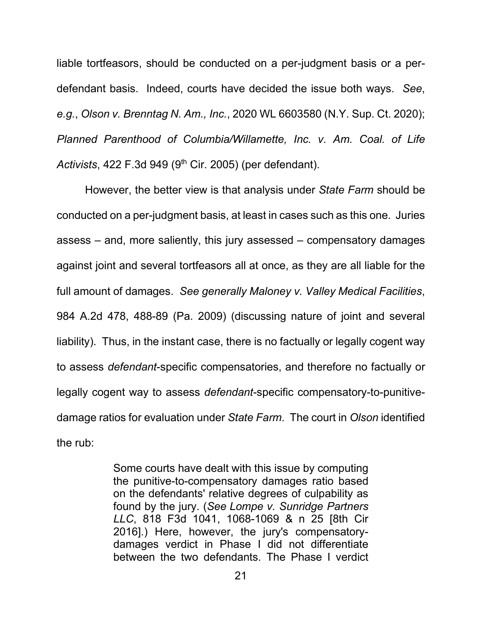liable tortfeasors, should be conducted on a per-judgment basis or a perdefendant basis. Indeed, courts have decided the issue both ways. *See*, *e.g.*, *Olson v. Brenntag N. Am., Inc.*, 2020 WL 6603580 (N.Y. Sup. Ct. 2020); *Planned Parenthood of Columbia/Willamette, Inc. v. Am. Coal. of Life Activists*, 422 F.3d 949 (9th Cir. 2005) (per defendant).

However, the better view is that analysis under *State Farm* should be conducted on a per-judgment basis, at least in cases such as this one. Juries assess – and, more saliently, this jury assessed – compensatory damages against joint and several tortfeasors all at once, as they are all liable for the full amount of damages. *See generally Maloney v. Valley Medical Facilities*, 984 A.2d 478, 488-89 (Pa. 2009) (discussing nature of joint and several liability). Thus, in the instant case, there is no factually or legally cogent way to assess *defendant*-specific compensatories, and therefore no factually or legally cogent way to assess *defendant*-specific compensatory-to-punitivedamage ratios for evaluation under *State Farm*. The court in *Olson* identified the rub:

> Some courts have dealt with this issue by computing the punitive-to-compensatory damages ratio based on the defendants' relative degrees of culpability as found by the jury. (*See Lompe v. Sunridge Partners LLC*, 818 F3d 1041, 1068-1069 & n 25 [8th Cir 2016].) Here, however, the jury's compensatorydamages verdict in Phase I did not differentiate between the two defendants. The Phase I verdict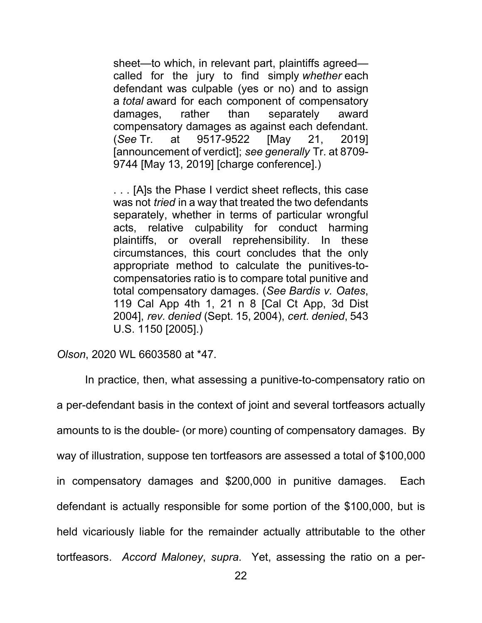sheet—to which, in relevant part, plaintiffs agreed called for the jury to find simply *whether* each defendant was culpable (yes or no) and to assign a *total* award for each component of compensatory damages, rather than separately award compensatory damages as against each defendant. (*See* Tr. at 9517-9522 [May 21, 2019] [announcement of verdict]; *see generally* Tr. at 8709- 9744 [May 13, 2019] [charge conference].)

. . . [A]s the Phase I verdict sheet reflects, this case was not *tried* in a way that treated the two defendants separately, whether in terms of particular wrongful acts, relative culpability for conduct harming plaintiffs, or overall reprehensibility. In these circumstances, this court concludes that the only appropriate method to calculate the punitives-tocompensatories ratio is to compare total punitive and total compensatory damages. (*See Bardis v. Oates*, 119 Cal App 4th 1, 21 n 8 [Cal Ct App, 3d Dist 2004], *rev. denied* (Sept. 15, 2004), *cert. denied*, 543 U.S. 1150 [2005].)

*Olson*, 2020 WL 6603580 at \*47.

In practice, then, what assessing a punitive-to-compensatory ratio on a per-defendant basis in the context of joint and several tortfeasors actually amounts to is the double- (or more) counting of compensatory damages. By way of illustration, suppose ten tortfeasors are assessed a total of \$100,000 in compensatory damages and \$200,000 in punitive damages. Each defendant is actually responsible for some portion of the \$100,000, but is held vicariously liable for the remainder actually attributable to the other tortfeasors. *Accord Maloney*, *supra*. Yet, assessing the ratio on a per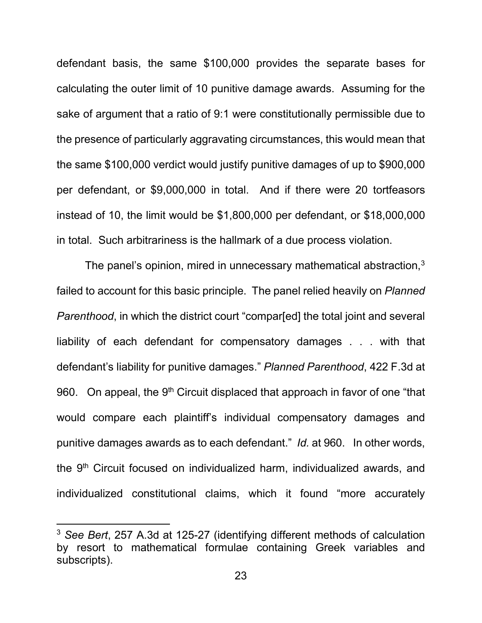defendant basis, the same \$100,000 provides the separate bases for calculating the outer limit of 10 punitive damage awards. Assuming for the sake of argument that a ratio of 9:1 were constitutionally permissible due to the presence of particularly aggravating circumstances, this would mean that the same \$100,000 verdict would justify punitive damages of up to \$900,000 per defendant, or \$9,000,000 in total. And if there were 20 tortfeasors instead of 10, the limit would be \$1,800,000 per defendant, or \$18,000,000 in total. Such arbitrariness is the hallmark of a due process violation.

The panel's opinion, mired in unnecessary mathematical abstraction,<sup>[3](#page-28-0)</sup> failed to account for this basic principle. The panel relied heavily on *Planned Parenthood*, in which the district court "compar[ed] the total joint and several liability of each defendant for compensatory damages . . . with that defendant's liability for punitive damages." *Planned Parenthood*, 422 F.3d at 960. On appeal, the 9<sup>th</sup> Circuit displaced that approach in favor of one "that would compare each plaintiff's individual compensatory damages and punitive damages awards as to each defendant." *Id.* at 960. In other words, the  $9<sup>th</sup>$  Circuit focused on individualized harm, individualized awards, and individualized constitutional claims, which it found "more accurately

<span id="page-28-0"></span><sup>3</sup> *See Bert*, 257 A.3d at 125-27 (identifying different methods of calculation by resort to mathematical formulae containing Greek variables and subscripts).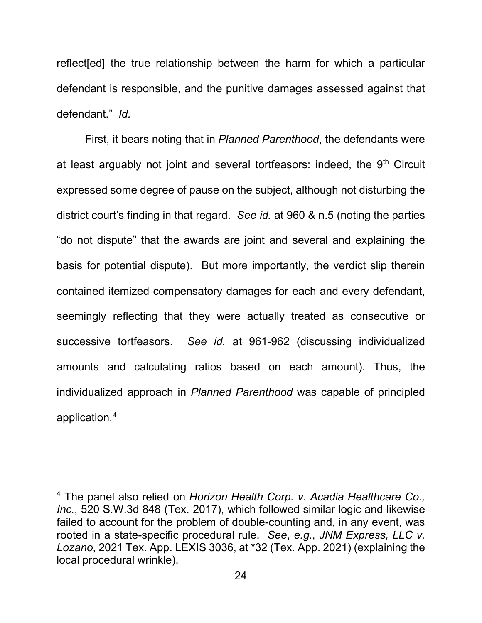reflect[ed] the true relationship between the harm for which a particular defendant is responsible, and the punitive damages assessed against that defendant." *Id.*

First, it bears noting that in *Planned Parenthood*, the defendants were at least arguably not joint and several tortfeasors: indeed, the  $9<sup>th</sup>$  Circuit expressed some degree of pause on the subject, although not disturbing the district court's finding in that regard. *See id.* at 960 & n.5 (noting the parties "do not dispute" that the awards are joint and several and explaining the basis for potential dispute). But more importantly, the verdict slip therein contained itemized compensatory damages for each and every defendant, seemingly reflecting that they were actually treated as consecutive or successive tortfeasors. *See id.* at 961-962 (discussing individualized amounts and calculating ratios based on each amount). Thus, the individualized approach in *Planned Parenthood* was capable of principled application.[4](#page-29-0)

<span id="page-29-0"></span><sup>4</sup> The panel also relied on *Horizon Health Corp. v. Acadia Healthcare Co., Inc.*, 520 S.W.3d 848 (Tex. 2017), which followed similar logic and likewise failed to account for the problem of double-counting and, in any event, was rooted in a state-specific procedural rule. *See*, *e.g.*, *JNM Express, LLC v. Lozano*, 2021 Tex. App. LEXIS 3036, at \*32 (Tex. App. 2021) (explaining the local procedural wrinkle).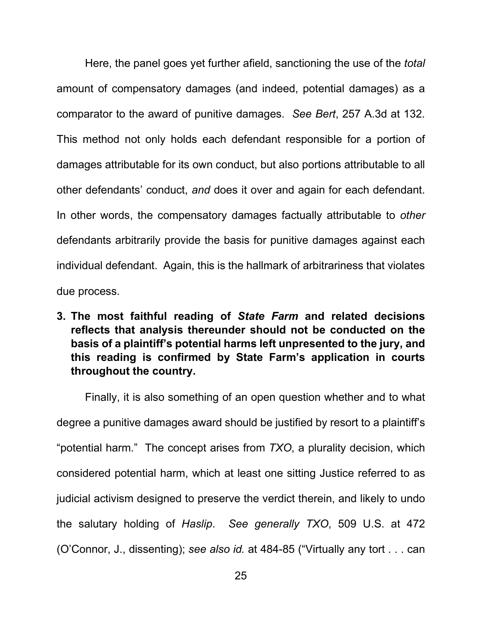Here, the panel goes yet further afield, sanctioning the use of the *total*  amount of compensatory damages (and indeed, potential damages) as a comparator to the award of punitive damages. *See Bert*, 257 A.3d at 132. This method not only holds each defendant responsible for a portion of damages attributable for its own conduct, but also portions attributable to all other defendants' conduct, *and* does it over and again for each defendant. In other words, the compensatory damages factually attributable to *other*  defendants arbitrarily provide the basis for punitive damages against each individual defendant. Again, this is the hallmark of arbitrariness that violates due process.

<span id="page-30-0"></span>**3. The most faithful reading of** *State Farm* **and related decisions reflects that analysis thereunder should not be conducted on the basis of a plaintiff's potential harms left unpresented to the jury, and this reading is confirmed by State Farm's application in courts throughout the country.**

Finally, it is also something of an open question whether and to what degree a punitive damages award should be justified by resort to a plaintiff's "potential harm." The concept arises from *TXO*, a plurality decision, which considered potential harm, which at least one sitting Justice referred to as judicial activism designed to preserve the verdict therein, and likely to undo the salutary holding of *Haslip*. *See generally TXO*, 509 U.S. at 472 (O'Connor, J., dissenting); *see also id.* at 484-85 ("Virtually any tort . . . can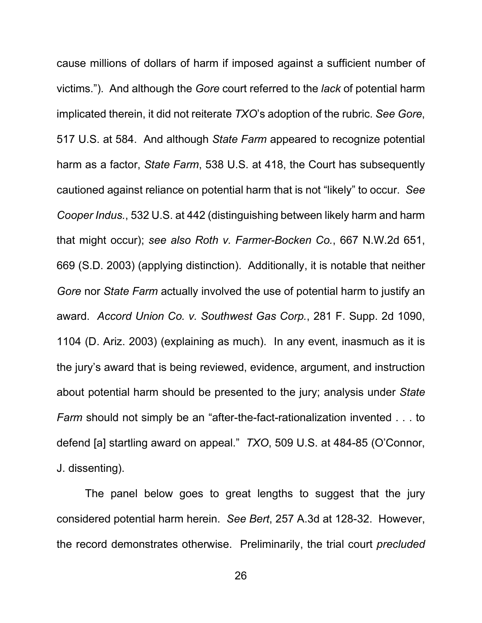cause millions of dollars of harm if imposed against a sufficient number of victims."). And although the *Gore* court referred to the *lack* of potential harm implicated therein, it did not reiterate *TXO*'s adoption of the rubric. *See Gore*, 517 U.S. at 584. And although *State Farm* appeared to recognize potential harm as a factor, *State Farm*, 538 U.S. at 418, the Court has subsequently cautioned against reliance on potential harm that is not "likely" to occur. *See Cooper Indus.*, 532 U.S. at 442 (distinguishing between likely harm and harm that might occur); *see also Roth v. Farmer-Bocken Co.*, 667 N.W.2d 651, 669 (S.D. 2003) (applying distinction). Additionally, it is notable that neither *Gore* nor *State Farm* actually involved the use of potential harm to justify an award. *Accord Union Co. v. Southwest Gas Corp.*, 281 F. Supp. 2d 1090, 1104 (D. Ariz. 2003) (explaining as much). In any event, inasmuch as it is the jury's award that is being reviewed, evidence, argument, and instruction about potential harm should be presented to the jury; analysis under *State Farm* should not simply be an "after-the-fact-rationalization invented . . . to defend [a] startling award on appeal." *TXO*, 509 U.S. at 484-85 (O'Connor, J. dissenting).

The panel below goes to great lengths to suggest that the jury considered potential harm herein. *See Bert*, 257 A.3d at 128-32. However, the record demonstrates otherwise. Preliminarily, the trial court *precluded*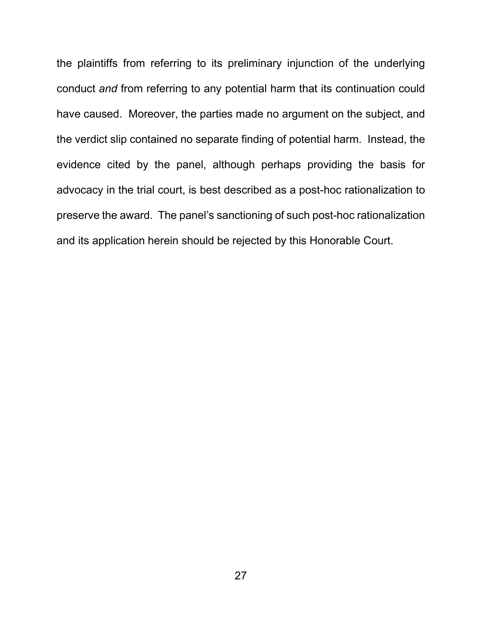the plaintiffs from referring to its preliminary injunction of the underlying conduct *and* from referring to any potential harm that its continuation could have caused. Moreover, the parties made no argument on the subject, and the verdict slip contained no separate finding of potential harm. Instead, the evidence cited by the panel, although perhaps providing the basis for advocacy in the trial court, is best described as a post-hoc rationalization to preserve the award. The panel's sanctioning of such post-hoc rationalization and its application herein should be rejected by this Honorable Court.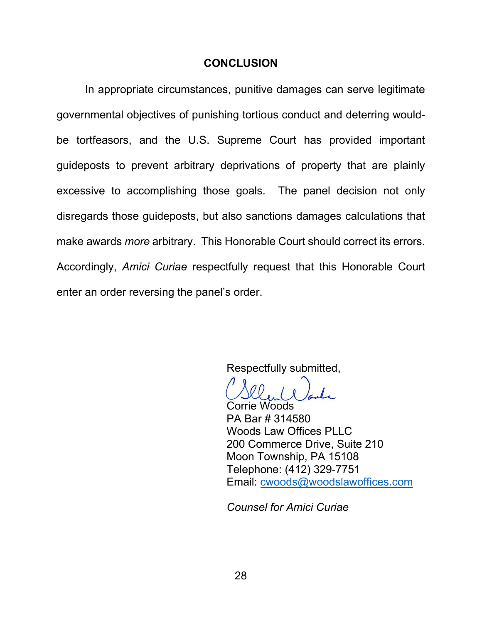### **CONCLUSION**

<span id="page-33-0"></span>In appropriate circumstances, punitive damages can serve legitimate governmental objectives of punishing tortious conduct and deterring wouldbe tortfeasors, and the U.S. Supreme Court has provided important guideposts to prevent arbitrary deprivations of property that are plainly excessive to accomplishing those goals. The panel decision not only disregards those guideposts, but also sanctions damages calculations that make awards *more* arbitrary. This Honorable Court should correct its errors. Accordingly, *Amici Curiae* respectfully request that this Honorable Court enter an order reversing the panel's order.

Respectfully submitted,

Corrie Woods PA Bar # 314580 Woods Law Offices PLLC 200 Commerce Drive, Suite 210 Moon Township, PA 15108 Telephone: (412) 329-7751 Email: [cwoods@woodslawoffices.com](mailto:cwoods@woodslawoffices.com)

*Counsel for Amici Curiae*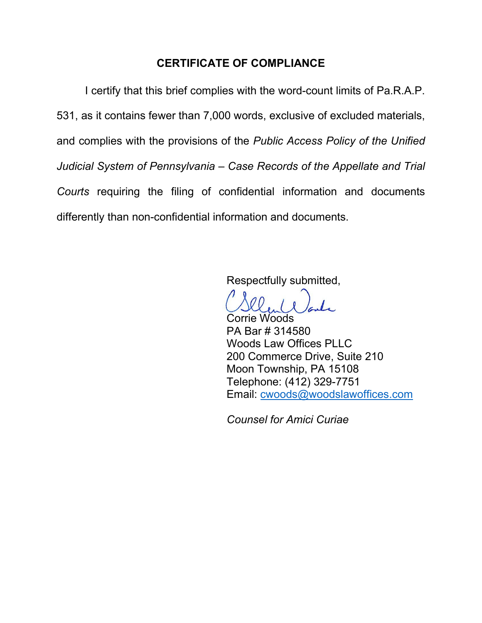## **CERTIFICATE OF COMPLIANCE**

I certify that this brief complies with the word-count limits of Pa.R.A.P. 531, as it contains fewer than 7,000 words, exclusive of excluded materials, and complies with the provisions of the *Public Access Policy of the Unified Judicial System of Pennsylvania – Case Records of the Appellate and Trial Courts* requiring the filing of confidential information and documents differently than non-confidential information and documents.

Respectfully submitted,

Corrie Woods PA Bar # 314580 Woods Law Offices PLLC 200 Commerce Drive, Suite 210 Moon Township, PA 15108 Telephone: (412) 329-7751 Email: [cwoods@woodslawoffices.com](mailto:cwoods@woodslawoffices.com)

*Counsel for Amici Curiae*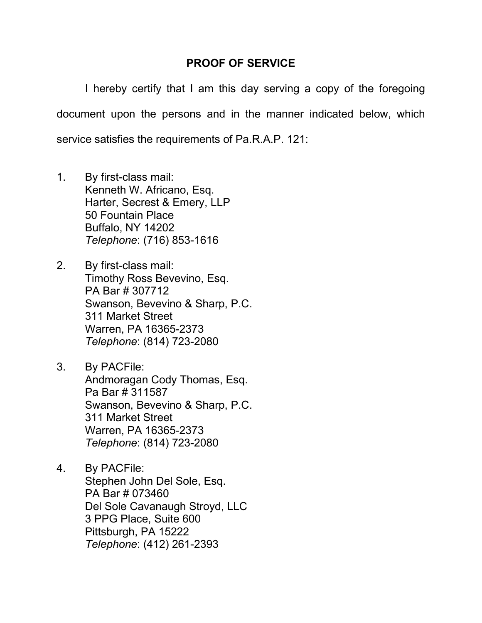## **PROOF OF SERVICE**

I hereby certify that I am this day serving a copy of the foregoing document upon the persons and in the manner indicated below, which service satisfies the requirements of Pa.R.A.P. 121:

- 1. By first-class mail: Kenneth W. Africano, Esq. Harter, Secrest & Emery, LLP 50 Fountain Place Buffalo, NY 14202 *Telephone*: (716) 853-1616
- 2. By first-class mail: Timothy Ross Bevevino, Esq. PA Bar # 307712 Swanson, Bevevino & Sharp, P.C. 311 Market Street Warren, PA 16365-2373 *Telephone*: (814) 723-2080
- 3. By PACFile: Andmoragan Cody Thomas, Esq. Pa Bar # 311587 Swanson, Bevevino & Sharp, P.C. 311 Market Street Warren, PA 16365-2373 *Telephone*: (814) 723-2080
- 4. By PACFile: Stephen John Del Sole, Esq. PA Bar # 073460 Del Sole Cavanaugh Stroyd, LLC 3 PPG Place, Suite 600 Pittsburgh, PA 15222 *Telephone*: (412) 261-2393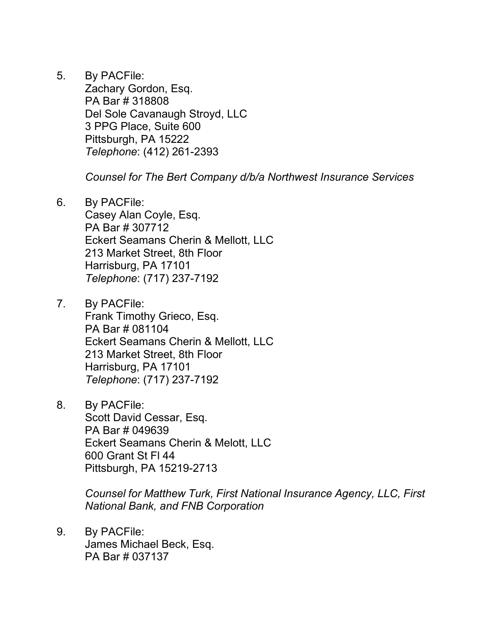5. By PACFile:

Zachary Gordon, Esq. PA Bar # 318808 Del Sole Cavanaugh Stroyd, LLC 3 PPG Place, Suite 600 Pittsburgh, PA 15222 *Telephone*: (412) 261-2393

*Counsel for The Bert Company d/b/a Northwest Insurance Services*

6. By PACFile: Casey Alan Coyle, Esq.

PA Bar # 307712 Eckert Seamans Cherin & Mellott, LLC 213 Market Street, 8th Floor Harrisburg, PA 17101 *Telephone*: (717) 237-7192

- 7. By PACFile: Frank Timothy Grieco, Esq. PA Bar # 081104 Eckert Seamans Cherin & Mellott, LLC 213 Market Street, 8th Floor Harrisburg, PA 17101 *Telephone*: (717) 237-7192
- 8. By PACFile: Scott David Cessar, Esq. PA Bar # 049639 Eckert Seamans Cherin & Melott, LLC 600 Grant St Fl 44 Pittsburgh, PA 15219-2713

*Counsel for Matthew Turk, First National Insurance Agency, LLC, First National Bank, and FNB Corporation*

9. By PACFile: James Michael Beck, Esq. PA Bar # 037137